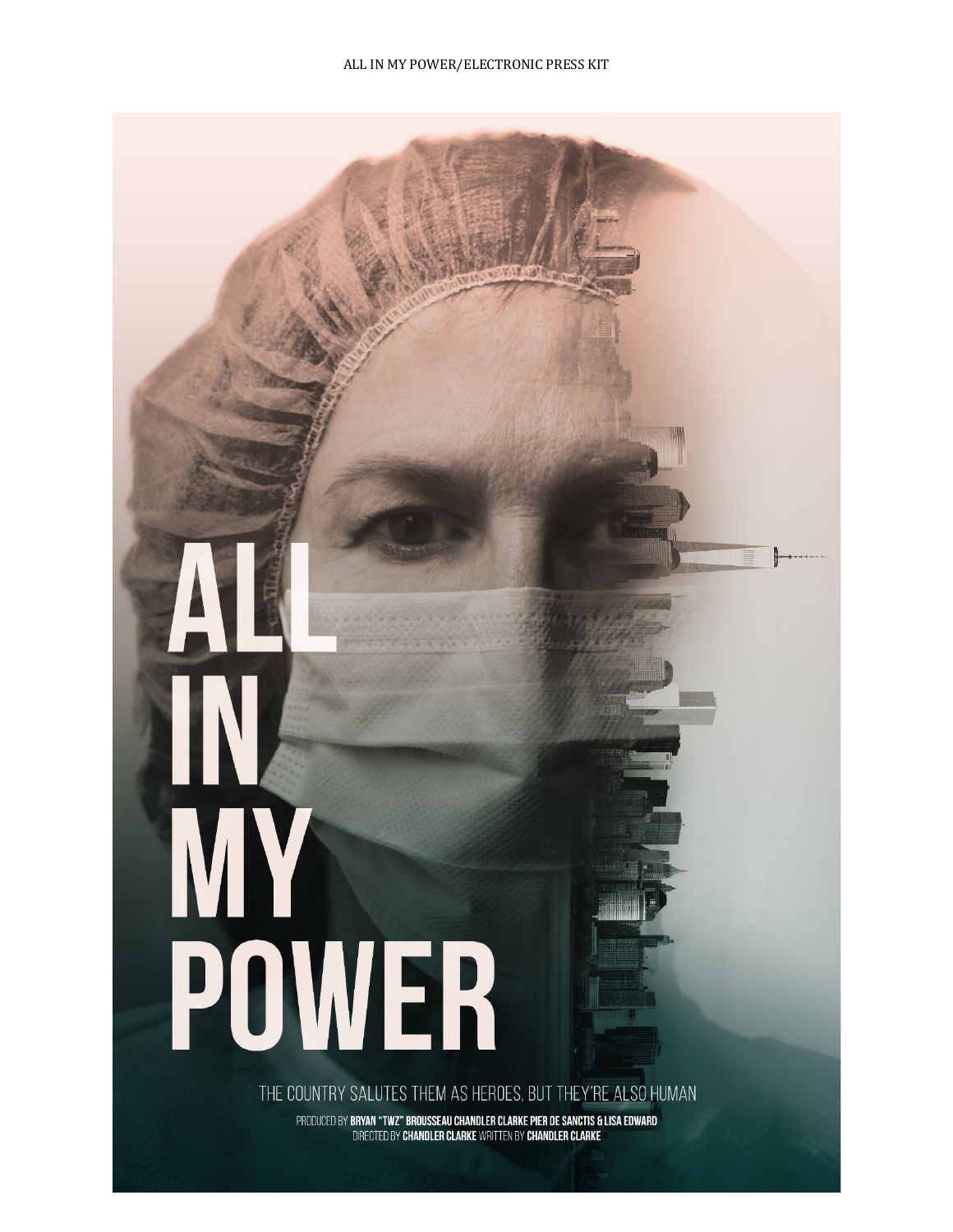# POWER

THE COUNTRY SALUTES THEM AS HEROES, BUT THEY'RE ALSO HUMAN

PRODUCED BY BRYAN "TWZ" BROUSSEAU CHANDLER CLARKE PIER DE SANCTIS & LISA EDWARD<br>DIRECTED BY CHANDLER CLARKE WRITTEN BY CHANDLER CLARKE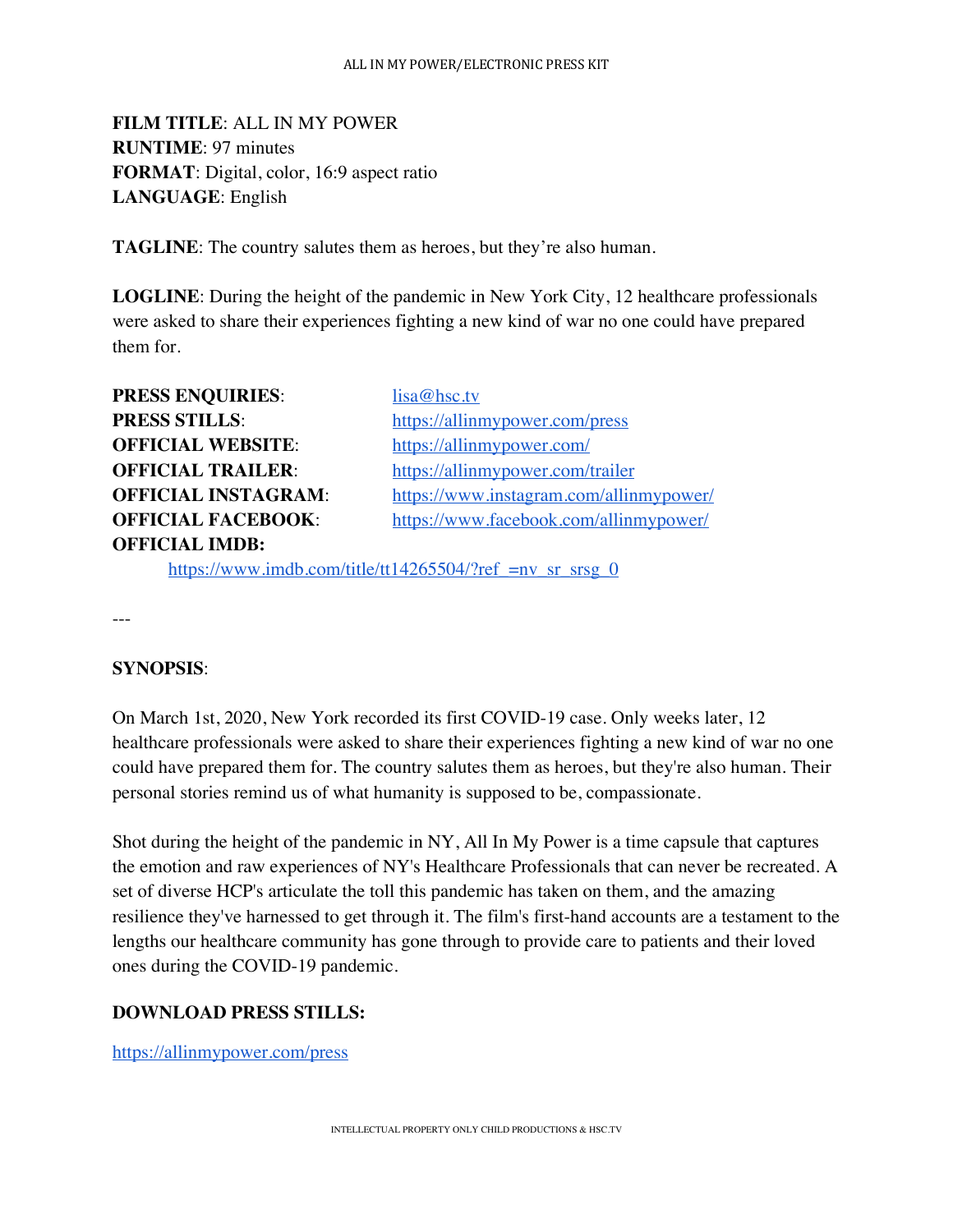**FILM TITLE**: ALL IN MY POWER **RUNTIME**: 97 minutes **FORMAT**: Digital, color, 16:9 aspect ratio **LANGUAGE**: English

**TAGLINE**: The country salutes them as heroes, but they're also human.

**LOGLINE**: During the height of the pandemic in New York City, 12 healthcare professionals were asked to share their experiences fighting a new kind of war no one could have prepared them for.

| <b>PRESS ENQUIRIES:</b>    | lisa@hsc.tv                             |
|----------------------------|-----------------------------------------|
| <b>PRESS STILLS:</b>       | https://allinmypower.com/press          |
| <b>OFFICIAL WEBSITE:</b>   | https://allinmypower.com/               |
| <b>OFFICIAL TRAILER:</b>   | https://allinmypower.com/trailer        |
| <b>OFFICIAL INSTAGRAM:</b> | https://www.instagram.com/allinmypower/ |
| <b>OFFICIAL FACEBOOK:</b>  | https://www.facebook.com/allinmypower/  |
| <b>OFFICIAL IMDB:</b>      |                                         |
|                            |                                         |

https://www.imdb.com/title/tt14265504/?ref\_=nv\_sr\_srsg\_0

---

# **SYNOPSIS**:

On March 1st, 2020, New York recorded its first COVID-19 case. Only weeks later, 12 healthcare professionals were asked to share their experiences fighting a new kind of war no one could have prepared them for. The country salutes them as heroes, but they're also human. Their personal stories remind us of what humanity is supposed to be, compassionate.

Shot during the height of the pandemic in NY, All In My Power is a time capsule that captures the emotion and raw experiences of NY's Healthcare Professionals that can never be recreated. A set of diverse HCP's articulate the toll this pandemic has taken on them, and the amazing resilience they've harnessed to get through it. The film's first-hand accounts are a testament to the lengths our healthcare community has gone through to provide care to patients and their loved ones during the COVID-19 pandemic.

# **DOWNLOAD PRESS STILLS:**

https://allinmypower.com/press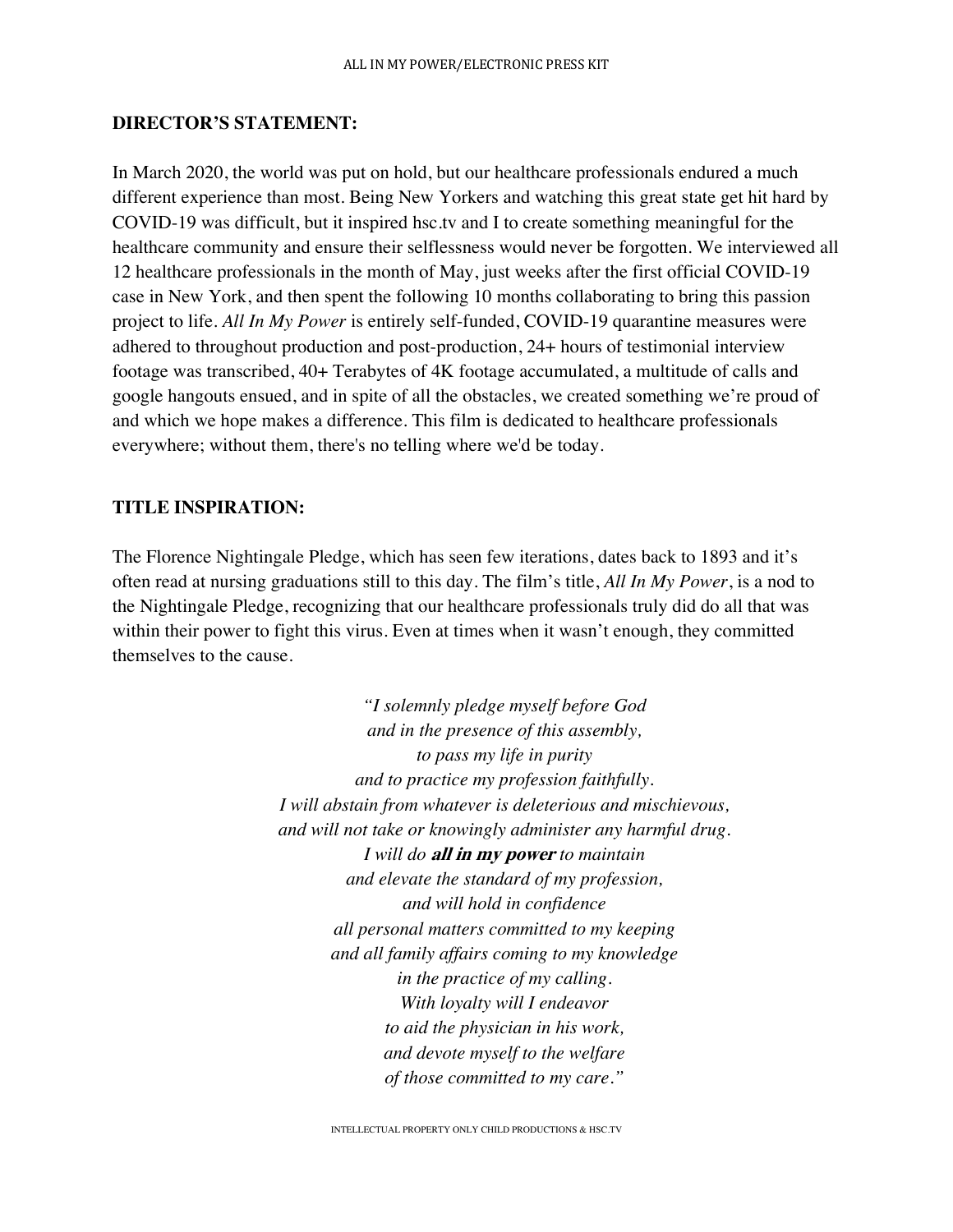### **DIRECTOR'S STATEMENT:**

In March 2020, the world was put on hold, but our healthcare professionals endured a much different experience than most. Being New Yorkers and watching this great state get hit hard by COVID-19 was difficult, but it inspired hsc.tv and I to create something meaningful for the healthcare community and ensure their selflessness would never be forgotten. We interviewed all 12 healthcare professionals in the month of May, just weeks after the first official COVID-19 case in New York, and then spent the following 10 months collaborating to bring this passion project to life. *All In My Power* is entirely self-funded, COVID-19 quarantine measures were adhered to throughout production and post-production, 24+ hours of testimonial interview footage was transcribed, 40+ Terabytes of 4K footage accumulated, a multitude of calls and google hangouts ensued, and in spite of all the obstacles, we created something we're proud of and which we hope makes a difference. This film is dedicated to healthcare professionals everywhere; without them, there's no telling where we'd be today.

### **TITLE INSPIRATION:**

The Florence Nightingale Pledge, which has seen few iterations, dates back to 1893 and it's often read at nursing graduations still to this day. The film's title, *All In My Power*, is a nod to the Nightingale Pledge, recognizing that our healthcare professionals truly did do all that was within their power to fight this virus. Even at times when it wasn't enough, they committed themselves to the cause.

> *"I solemnly pledge myself before God and in the presence of this assembly, to pass my life in purity and to practice my profession faithfully. I will abstain from whatever is deleterious and mischievous, and will not take or knowingly administer any harmful drug. I will do* **all in my power** *to maintain and elevate the standard of my profession, and will hold in confidence all personal matters committed to my keeping and all family affairs coming to my knowledge in the practice of my calling. With loyalty will I endeavor to aid the physician in his work, and devote myself to the welfare of those committed to my care."*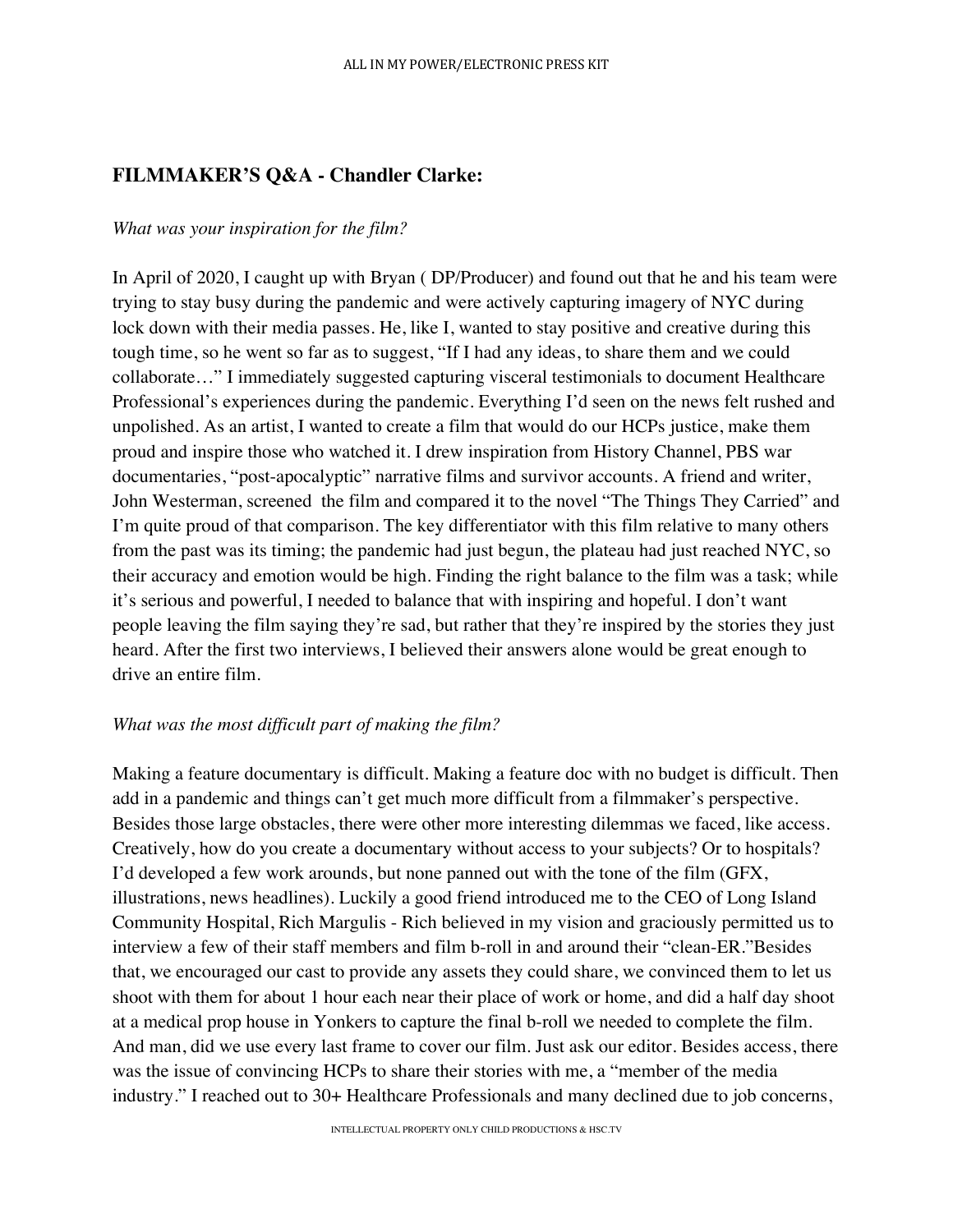# **FILMMAKER'S Q&A - Chandler Clarke:**

# *What was your inspiration for the film?*

In April of 2020, I caught up with Bryan ( DP/Producer) and found out that he and his team were trying to stay busy during the pandemic and were actively capturing imagery of NYC during lock down with their media passes. He, like I, wanted to stay positive and creative during this tough time, so he went so far as to suggest, "If I had any ideas, to share them and we could collaborate…" I immediately suggested capturing visceral testimonials to document Healthcare Professional's experiences during the pandemic. Everything I'd seen on the news felt rushed and unpolished. As an artist, I wanted to create a film that would do our HCPs justice, make them proud and inspire those who watched it. I drew inspiration from History Channel, PBS war documentaries, "post-apocalyptic" narrative films and survivor accounts. A friend and writer, John Westerman, screened the film and compared it to the novel "The Things They Carried" and I'm quite proud of that comparison. The key differentiator with this film relative to many others from the past was its timing; the pandemic had just begun, the plateau had just reached NYC, so their accuracy and emotion would be high. Finding the right balance to the film was a task; while it's serious and powerful, I needed to balance that with inspiring and hopeful. I don't want people leaving the film saying they're sad, but rather that they're inspired by the stories they just heard. After the first two interviews, I believed their answers alone would be great enough to drive an entire film.

# *What was the most difficult part of making the film?*

Making a feature documentary is difficult. Making a feature doc with no budget is difficult. Then add in a pandemic and things can't get much more difficult from a filmmaker's perspective. Besides those large obstacles, there were other more interesting dilemmas we faced, like access. Creatively, how do you create a documentary without access to your subjects? Or to hospitals? I'd developed a few work arounds, but none panned out with the tone of the film (GFX, illustrations, news headlines). Luckily a good friend introduced me to the CEO of Long Island Community Hospital, Rich Margulis - Rich believed in my vision and graciously permitted us to interview a few of their staff members and film b-roll in and around their "clean-ER."Besides that, we encouraged our cast to provide any assets they could share, we convinced them to let us shoot with them for about 1 hour each near their place of work or home, and did a half day shoot at a medical prop house in Yonkers to capture the final b-roll we needed to complete the film. And man, did we use every last frame to cover our film. Just ask our editor. Besides access, there was the issue of convincing HCPs to share their stories with me, a "member of the media industry." I reached out to 30+ Healthcare Professionals and many declined due to job concerns,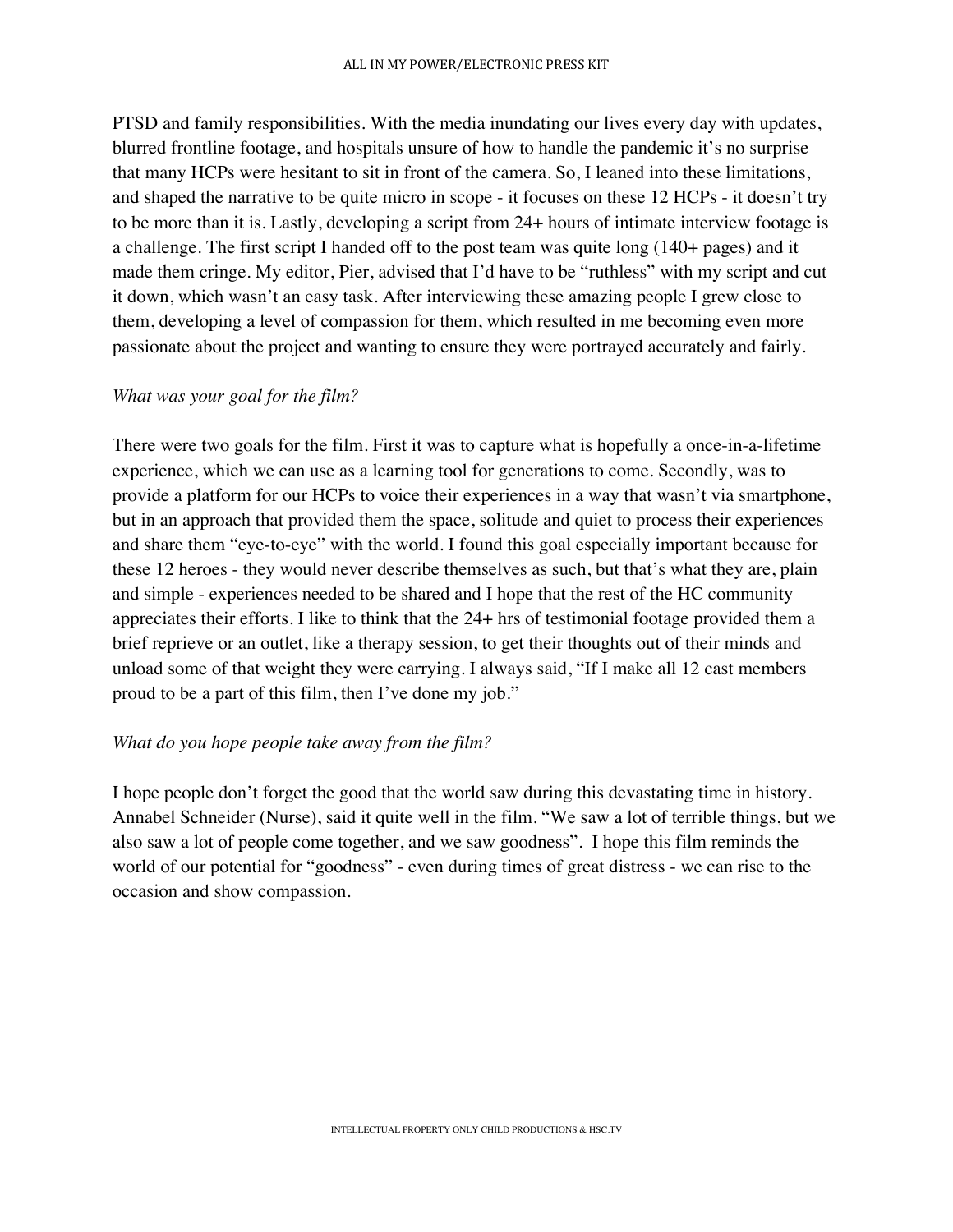PTSD and family responsibilities. With the media inundating our lives every day with updates, blurred frontline footage, and hospitals unsure of how to handle the pandemic it's no surprise that many HCPs were hesitant to sit in front of the camera. So, I leaned into these limitations, and shaped the narrative to be quite micro in scope - it focuses on these 12 HCPs - it doesn't try to be more than it is. Lastly, developing a script from 24+ hours of intimate interview footage is a challenge. The first script I handed off to the post team was quite long (140+ pages) and it made them cringe. My editor, Pier, advised that I'd have to be "ruthless" with my script and cut it down, which wasn't an easy task. After interviewing these amazing people I grew close to them, developing a level of compassion for them, which resulted in me becoming even more passionate about the project and wanting to ensure they were portrayed accurately and fairly.

# *What was your goal for the film?*

There were two goals for the film. First it was to capture what is hopefully a once-in-a-lifetime experience, which we can use as a learning tool for generations to come. Secondly, was to provide a platform for our HCPs to voice their experiences in a way that wasn't via smartphone, but in an approach that provided them the space, solitude and quiet to process their experiences and share them "eye-to-eye" with the world. I found this goal especially important because for these 12 heroes - they would never describe themselves as such, but that's what they are, plain and simple - experiences needed to be shared and I hope that the rest of the HC community appreciates their efforts. I like to think that the 24+ hrs of testimonial footage provided them a brief reprieve or an outlet, like a therapy session, to get their thoughts out of their minds and unload some of that weight they were carrying. I always said, "If I make all 12 cast members proud to be a part of this film, then I've done my job."

# *What do you hope people take away from the film?*

I hope people don't forget the good that the world saw during this devastating time in history. Annabel Schneider (Nurse), said it quite well in the film. "We saw a lot of terrible things, but we also saw a lot of people come together, and we saw goodness". I hope this film reminds the world of our potential for "goodness" - even during times of great distress - we can rise to the occasion and show compassion.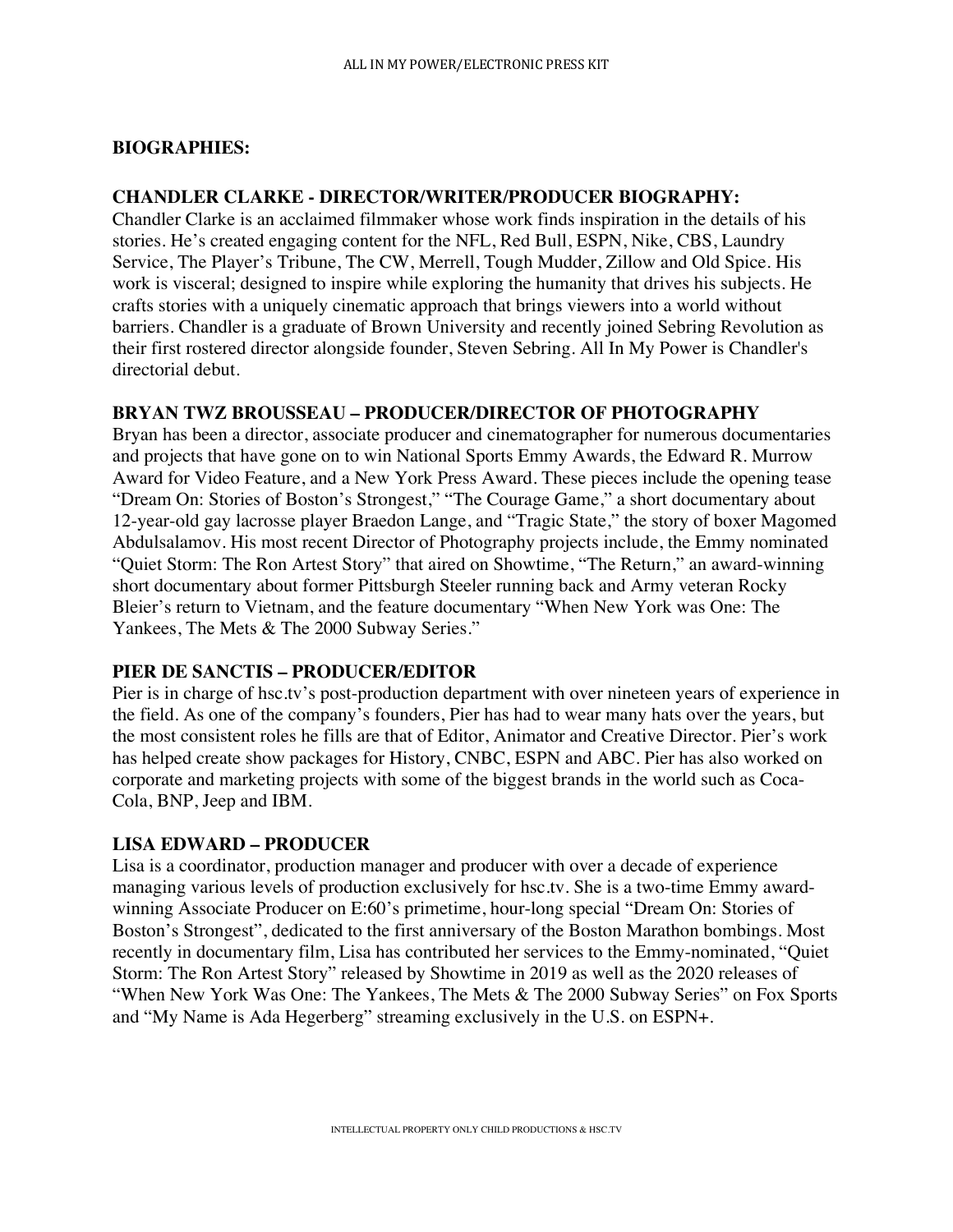# **BIOGRAPHIES:**

### **CHANDLER CLARKE - DIRECTOR/WRITER/PRODUCER BIOGRAPHY:**

Chandler Clarke is an acclaimed filmmaker whose work finds inspiration in the details of his stories. He's created engaging content for the NFL, Red Bull, ESPN, Nike, CBS, Laundry Service, The Player's Tribune, The CW, Merrell, Tough Mudder, Zillow and Old Spice. His work is visceral; designed to inspire while exploring the humanity that drives his subjects. He crafts stories with a uniquely cinematic approach that brings viewers into a world without barriers. Chandler is a graduate of Brown University and recently joined Sebring Revolution as their first rostered director alongside founder, Steven Sebring. All In My Power is Chandler's directorial debut.

### **BRYAN TWZ BROUSSEAU – PRODUCER/DIRECTOR OF PHOTOGRAPHY**

Bryan has been a director, associate producer and cinematographer for numerous documentaries and projects that have gone on to win National Sports Emmy Awards, the Edward R. Murrow Award for Video Feature, and a New York Press Award. These pieces include the opening tease "Dream On: Stories of Boston's Strongest," "The Courage Game," a short documentary about 12-year-old gay lacrosse player Braedon Lange, and "Tragic State," the story of boxer Magomed Abdulsalamov. His most recent Director of Photography projects include, the Emmy nominated "Quiet Storm: The Ron Artest Story" that aired on Showtime, "The Return," an award-winning short documentary about former Pittsburgh Steeler running back and Army veteran Rocky Bleier's return to Vietnam, and the feature documentary "When New York was One: The Yankees, The Mets & The 2000 Subway Series."

# **PIER DE SANCTIS – PRODUCER/EDITOR**

Pier is in charge of hsc.tv's post-production department with over nineteen years of experience in the field. As one of the company's founders, Pier has had to wear many hats over the years, but the most consistent roles he fills are that of Editor, Animator and Creative Director. Pier's work has helped create show packages for History, CNBC, ESPN and ABC. Pier has also worked on corporate and marketing projects with some of the biggest brands in the world such as Coca-Cola, BNP, Jeep and IBM.

### **LISA EDWARD – PRODUCER**

Lisa is a coordinator, production manager and producer with over a decade of experience managing various levels of production exclusively for hsc.tv. She is a two-time Emmy awardwinning Associate Producer on E:60's primetime, hour-long special "Dream On: Stories of Boston's Strongest", dedicated to the first anniversary of the Boston Marathon bombings. Most recently in documentary film, Lisa has contributed her services to the Emmy-nominated, "Quiet Storm: The Ron Artest Story" released by Showtime in 2019 as well as the 2020 releases of "When New York Was One: The Yankees, The Mets & The 2000 Subway Series" on Fox Sports and "My Name is Ada Hegerberg" streaming exclusively in the U.S. on ESPN+.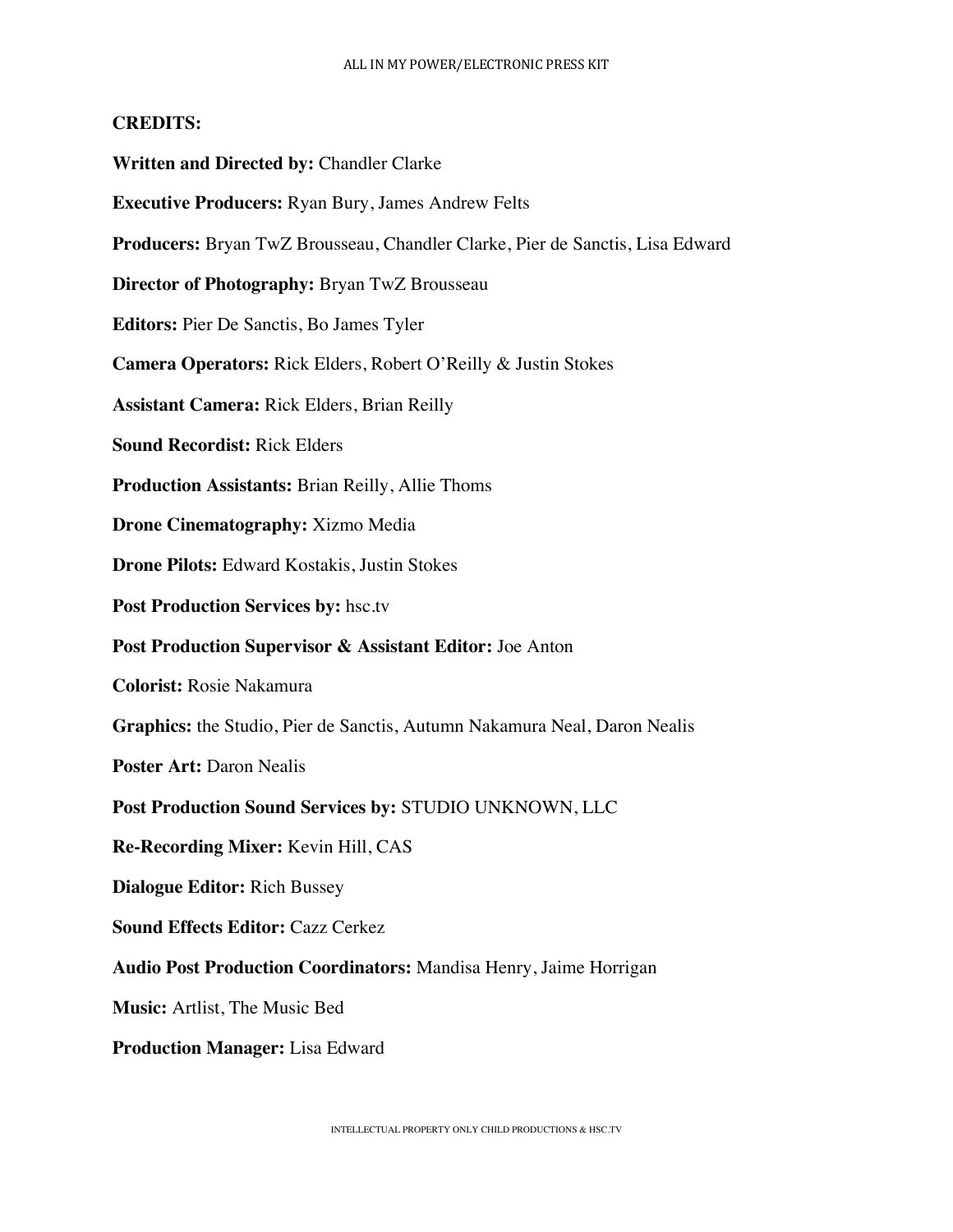### **CREDITS:**

- **Written and Directed by:** Chandler Clarke
- **Executive Producers:** Ryan Bury, James Andrew Felts
- **Producers:** Bryan TwZ Brousseau, Chandler Clarke, Pier de Sanctis, Lisa Edward
- **Director of Photography:** Bryan TwZ Brousseau
- **Editors:** Pier De Sanctis, Bo James Tyler
- **Camera Operators:** Rick Elders, Robert O'Reilly & Justin Stokes
- **Assistant Camera:** Rick Elders, Brian Reilly
- **Sound Recordist:** Rick Elders
- **Production Assistants:** Brian Reilly, Allie Thoms
- **Drone Cinematography:** Xizmo Media
- **Drone Pilots:** Edward Kostakis, Justin Stokes
- **Post Production Services by:** hsc.tv
- **Post Production Supervisor & Assistant Editor:** Joe Anton
- **Colorist:** Rosie Nakamura
- **Graphics:** the Studio, Pier de Sanctis, Autumn Nakamura Neal, Daron Nealis
- **Poster Art:** Daron Nealis
- **Post Production Sound Services by:** STUDIO UNKNOWN, LLC
- **Re-Recording Mixer:** Kevin Hill, CAS
- **Dialogue Editor:** Rich Bussey
- **Sound Effects Editor:** Cazz Cerkez
- **Audio Post Production Coordinators:** Mandisa Henry, Jaime Horrigan
- **Music:** Artlist, The Music Bed
- **Production Manager:** Lisa Edward